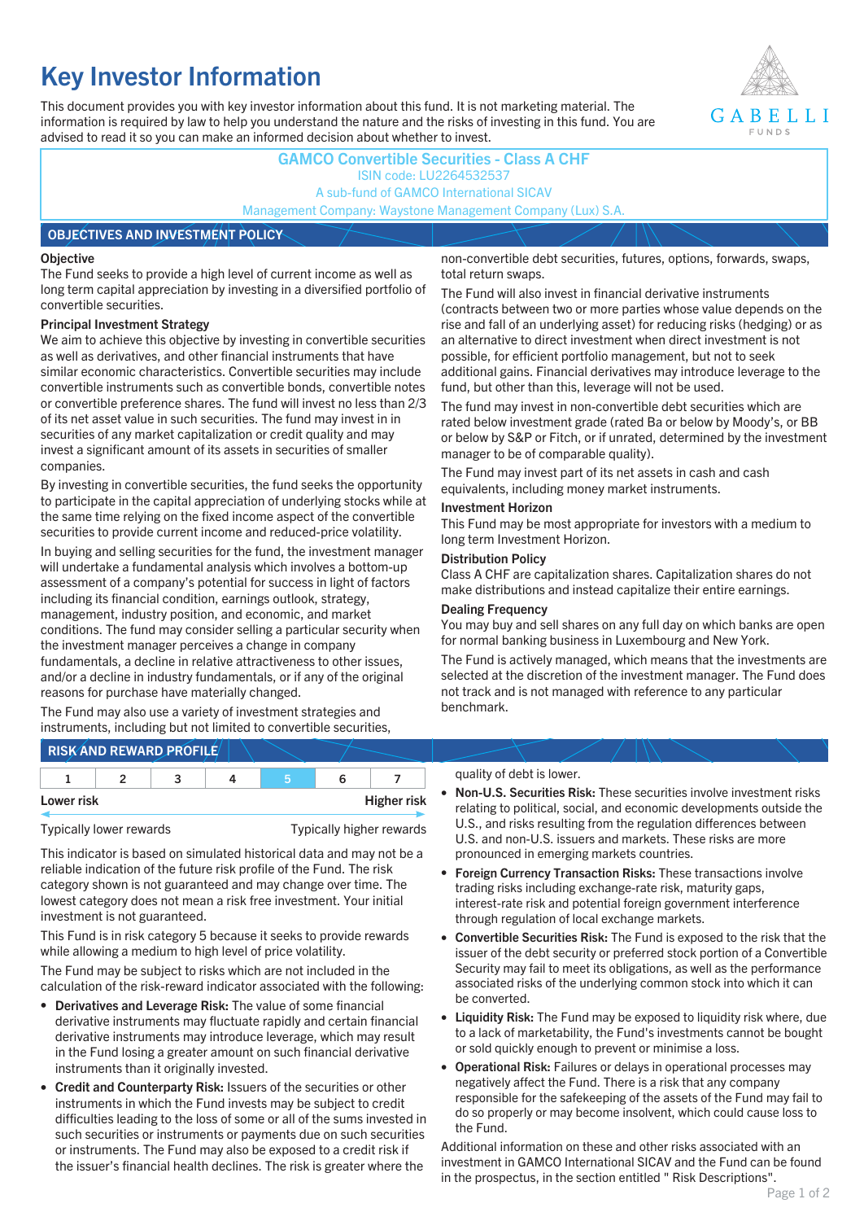# **Key Investor Information**

This document provides you with key investor information about this fund. It is not marketing material. The information is required by law to help you understand the nature and the risks of investing in this fund. You are advised to read it so you can make an informed decision about whether to invest.



### **GAMCO Convertible Securities - Class A CHF** ISIN code: LU2264532537 A sub-fund of GAMCO International SICAV Management Company: Waystone Management Company (Lux) S.A.

### **OBJECTIVES AND INVESTMENT POLICY**

#### **Objective**

The Fund seeks to provide a high level of current income as well as long term capital appreciation by investing in a diversified portfolio of convertible securities.

#### **Principal Investment Strategy**

We aim to achieve this objective by investing in convertible securities as well as derivatives, and other financial instruments that have similar economic characteristics. Convertible securities may include convertible instruments such as convertible bonds, convertible notes or convertible preference shares. The fund will invest no less than 2/3 of its net asset value in such securities. The fund may invest in in securities of any market capitalization or credit quality and may invest a significant amount of its assets in securities of smaller companies.

By investing in convertible securities, the fund seeks the opportunity to participate in the capital appreciation of underlying stocks while at the same time relying on the fixed income aspect of the convertible securities to provide current income and reduced-price volatility.

In buying and selling securities for the fund, the investment manager will undertake a fundamental analysis which involves a bottom-up assessment of a company's potential for success in light of factors including its financial condition, earnings outlook, strategy, management, industry position, and economic, and market conditions. The fund may consider selling a particular security when the investment manager perceives a change in company fundamentals, a decline in relative attractiveness to other issues, and/or a decline in industry fundamentals, or if any of the original reasons for purchase have materially changed.

The Fund may also use a variety of investment strategies and instruments, including but not limited to convertible securities, non-convertible debt securities, futures, options, forwards, swaps, total return swaps.

The Fund will also invest in financial derivative instruments (contracts between two or more parties whose value depends on the rise and fall of an underlying asset) for reducing risks (hedging) or as an alternative to direct investment when direct investment is not possible, for efficient portfolio management, but not to seek additional gains. Financial derivatives may introduce leverage to the fund, but other than this, leverage will not be used.

The fund may invest in non-convertible debt securities which are rated below investment grade (rated Ba or below by Moody's, or BB or below by S&P or Fitch, or if unrated, determined by the investment manager to be of comparable quality).

The Fund may invest part of its net assets in cash and cash equivalents, including money market instruments.

### **Investment Horizon**

This Fund may be most appropriate for investors with a medium to long term Investment Horizon.

#### **Distribution Policy**

Class A CHF are capitalization shares. Capitalization shares do not make distributions and instead capitalize their entire earnings.

#### **Dealing Frequency**

You may buy and sell shares on any full day on which banks are open for normal banking business in Luxembourg and New York.

The Fund is actively managed, which means that the investments are selected at the discretion of the investment manager. The Fund does not track and is not managed with reference to any particular benchmark.

## **RISK AND REWARD PROFILE**

|            | - |  |                    |
|------------|---|--|--------------------|
| Lower risk |   |  | <b>Higher risk</b> |

Typically lower rewards Typically higher rewards

This indicator is based on simulated historical data and may not be a reliable indication of the future risk profile of the Fund. The risk category shown is not guaranteed and may change over time. The lowest category does not mean a risk free investment. Your initial investment is not guaranteed.

This Fund is in risk category 5 because it seeks to provide rewards while allowing a medium to high level of price volatility.

The Fund may be subject to risks which are not included in the calculation of the risk-reward indicator associated with the following:

- **Derivatives and Leverage Risk:** The value of some financial derivative instruments may fluctuate rapidly and certain financial derivative instruments may introduce leverage, which may result in the Fund losing a greater amount on such financial derivative instruments than it originally invested.
- **Credit and Counterparty Risk:** Issuers of the securities or other instruments in which the Fund invests may be subject to credit difficulties leading to the loss of some or all of the sums invested in such securities or instruments or payments due on such securities or instruments. The Fund may also be exposed to a credit risk if the issuer's financial health declines. The risk is greater where the

#### quality of debt is lower.

- **Non-U.S. Securities Risk:** These securities involve investment risks relating to political, social, and economic developments outside the U.S., and risks resulting from the regulation differences between U.S. and non-U.S. issuers and markets. These risks are more pronounced in emerging markets countries.
- **Foreign Currency Transaction Risks:** These transactions involve trading risks including exchange-rate risk, maturity gaps, interest-rate risk and potential foreign government interference through regulation of local exchange markets.
- **Convertible Securities Risk:** The Fund is exposed to the risk that the issuer of the debt security or preferred stock portion of a Convertible Security may fail to meet its obligations, as well as the performance associated risks of the underlying common stock into which it can be converted.
- **Liquidity Risk:** The Fund may be exposed to liquidity risk where, due to a lack of marketability, the Fund's investments cannot be bought or sold quickly enough to prevent or minimise a loss.
- **Operational Risk:** Failures or delays in operational processes may negatively affect the Fund. There is a risk that any company responsible for the safekeeping of the assets of the Fund may fail to do so properly or may become insolvent, which could cause loss to the Fund.

Additional information on these and other risks associated with an investment in GAMCO International SICAV and the Fund can be found in the prospectus, in the section entitled " Risk Descriptions".